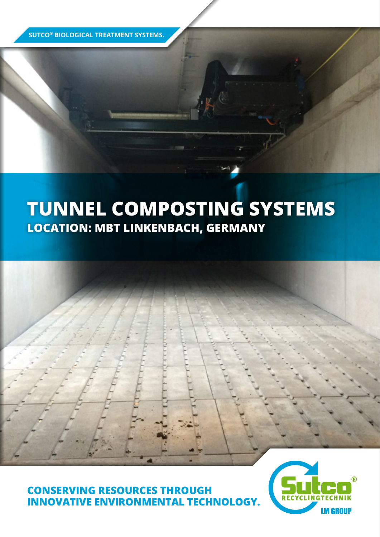**SUTCO® BIOLOGICAL TREATMENT SYSTEMS.**

## **TUNNEL COMPOSTING SYSTEMS LOCATION: MBT LINKENBACH, GERMANY**

**CONSERVING RESOURCES THROUGH INNOVATIVE ENVIRONMENTAL TECHNOLOGY.**

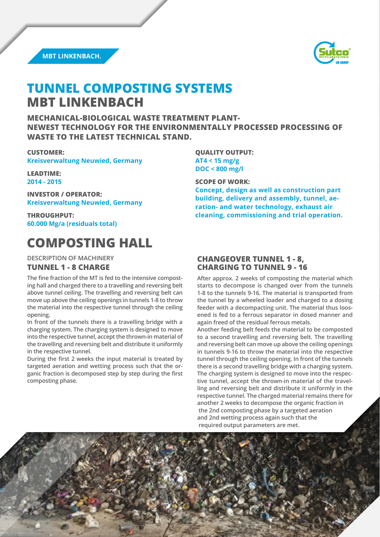



### **TUNNEL COMPOSTING SYSTEMS MBT LINKENBACH**

**MECHANICAL-BIOLOGICAL WASTE TREATMENT PLANT-NEWEST TECHNOLOGY FOR THE ENVIRONMENTALLY PROCESSED PROCESSING OF WASTE TO THE LATEST TECHNICAL STAND.**

#### **CUSTOMER:**

**Kreisverwaltung Neuwied, Germany**

**LEADTIME: 2014 - 2015**

**INVESTOR / OPERATOR: Kreisverwaltung Neuwied, Germany**

**THROUGHPUT: 60.000 Mg/a (residuals total)**

## **COMPOSTING HALL**

**DESCRIPTION OF MACHINERY**

#### **TUNNEL 1 - 8 CHARGE**

**The fine fraction of the MT is fed to the intensive composting hall and charged there to a travelling and reversing belt above tunnel ceiling. The travelling and reversing belt can move up above the ceiling openings in tunnels 1-8 to throw the material into the respective tunnel through the ceiling opening.**

**In front of the tunnels there is a travelling bridge with a charging system. The charging system is designed to move into the respective tunnel, acceptthe thrown-in material of the travelling and reversing belt and distribute it uniformly in the respective tunnel.**

**During the first 2 weeks the input material is treated by targeted aeration and wetting process such that the organic fraction is decomposed step by step during the first composting phase.**

**QUALITY OUTPUT: AT4 < 15 mg/g DOC < 800 mg/l**

**SCOPE OF WORK:**

**Concept, design as well as construction part building, delivery and assembly, tunnel, aeration- and water technology, exhaust air cleaning, commissioning and trial operation.**

#### **CHANGEOVER TUNNEL 1 - 8, CHARGING TO TUNNEL 9 - 16**

**After approx. 2 weeks of composting the material which starts to decompose is changed over from the tunnels 1-8 to the tunnels 9-16. The material is transported from the tunnel by a wheeled loader and charged to a dosing feeder with a decompacting unit. The material thus loosened is fed to a ferrous separator in dosed manner and again freed of the residual ferrous metals.** 

**Another feeding belt feeds the material to be composted to a second travelling and reversing belt. The travelling and reversing belt can move up above the ceiling openings in tunnels 9-16 to throw the material into the respective tunnel through the ceiling opening. In front of the tunnels there is a second travelling bridge with a charging system. The charging system is designed to move into the respective tunnel, accept the thrown-in material of the travelling and reversing belt and distribute it uniformly in the respective tunnel. The charged material remains there for another 2 weeks to decompose the organic fraction in the 2nd composting phase by a targeted aeration and 2nd wetting process again such that the required output parameters are met.**

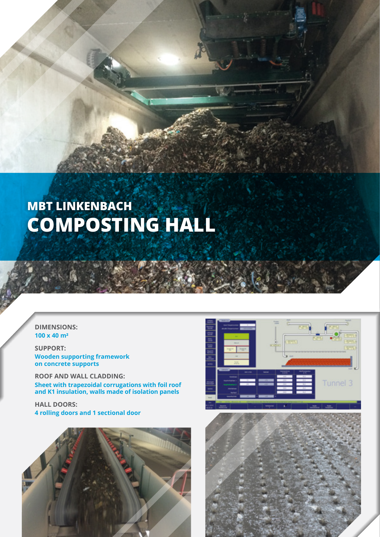# **MBT LINKENBACH COMPOSTING HALL**

#### **DIMENSIONS: 100 x 40 m<sup>2</sup>**

**SUPPORT: Wooden supporting framework on concrete supports**

**ROOF AND WALL CLADDING: Sheet with trapezoidal corrugations with foil roof and K1 insulation, walls made of isolation panels**

**HALL DOORS: 4 rolling doors and 1 sectional door**





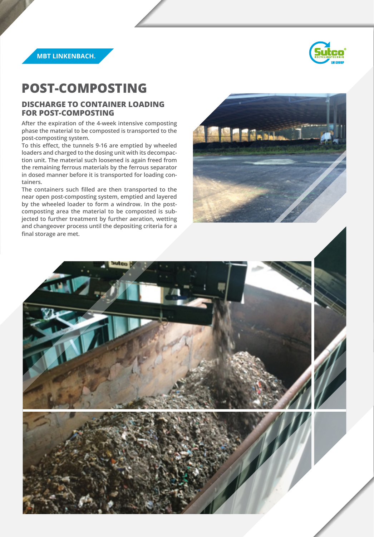



### **POST-COMPOSTING**

#### **DISCHARGE TO CONTAINER LOADING FOR POST-COMPOSTING**

**After the expiration of the 4-week intensive composting phase the material to be composted is transported to the post-composting system.**

**To this effect, the tunnels 9-16 are emptied by wheeled loaders and charged to the dosing unit with its decompaction unit. The material such loosened is again freed from the remaining ferrous materials by the ferrous separator in dosed manner before it is transported for loading containers.**

**The containers such filled are then transported to the near open post-composting system, emptied and layered by the wheeled loader to form a windrow. In the postcomposting area the material to be composted is subjected to further treatment by further aeration, wetting and changeover process until the depositing criteria for a final storage are met.**



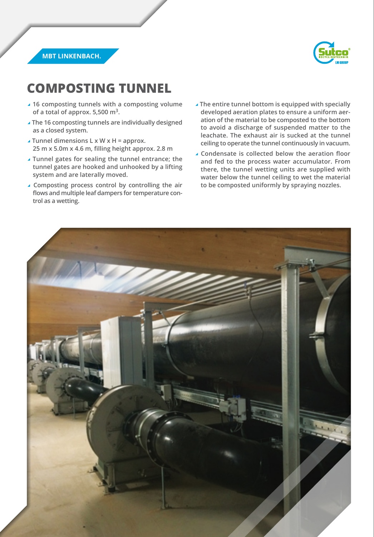

**MBT LINKENBACH.**

## **COMPOSTING TUNNEL**

- a **16 composting tunnels with a composting volume of a total of approx. 5,500 m3.**
- a **The 16 composting tunnels are individually designed as a closed system.**
- a **Tunnel dimensions L x W x H = approx. 25 m x 5.0m x 4.6 m, filling height approx. 2.8 m**
- a **Tunnel gates for sealing the tunnel entrance; the tunnel gates are hooked and unhooked by a lifting system and are laterally moved.**
- a **Composting process control by controlling the air flows and multiple leaf dampers for temperature control as a wetting.**
- a **The entire tunnel bottom is equipped with specially developed aeration plates to ensure a uniform aeration of the material to be composted to the bottom to avoid a discharge of suspended matter to the leachate. The exhaust air is sucked at the tunnel ceiling to operate the tunnel continuously in vacuum.**
- a **Condensate is collected below the aeration floor and fed to the process water accumulator. From there, the tunnel wetting units are supplied with water below the tunnel ceiling to wet the material to be composted uniformly by spraying nozzles.**